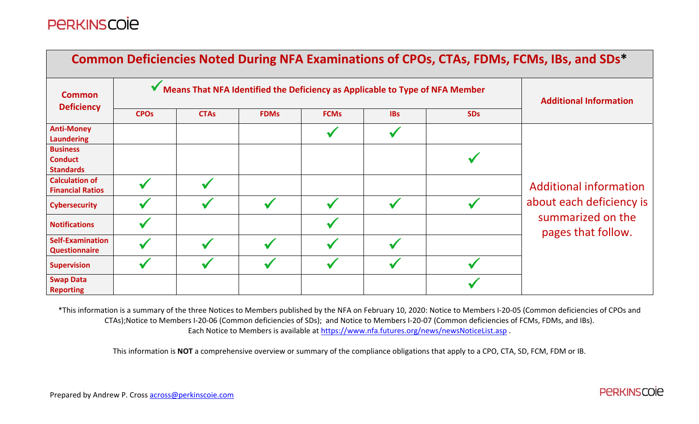|                                                       |                        |                                                                              |                               |             |            |            | Common Deficiencies Noted During NFA Examinations of CPOs, CTAs, FDMs, FCMs, IBs, and SDs* |
|-------------------------------------------------------|------------------------|------------------------------------------------------------------------------|-------------------------------|-------------|------------|------------|--------------------------------------------------------------------------------------------|
| <b>Common</b>                                         |                        | Means That NFA Identified the Deficiency as Applicable to Type of NFA Member | <b>Additional Information</b> |             |            |            |                                                                                            |
| <b>Deficiency</b>                                     | <b>CPO<sub>s</sub></b> | <b>CTAs</b>                                                                  | <b>FDMs</b>                   | <b>FCMs</b> | <b>IBs</b> | <b>SDs</b> |                                                                                            |
| <b>Anti-Money</b><br><b>Laundering</b>                |                        |                                                                              |                               |             |            |            |                                                                                            |
| <b>Business</b><br><b>Conduct</b><br><b>Standards</b> |                        |                                                                              |                               |             |            |            |                                                                                            |
| <b>Calculation of</b><br><b>Financial Ratios</b>      |                        |                                                                              |                               |             |            |            | <b>Additional information</b>                                                              |
| <b>Cybersecurity</b>                                  |                        |                                                                              |                               |             |            |            | about each deficiency is                                                                   |
| <b>Notifications</b>                                  |                        |                                                                              |                               |             |            |            | summarized on the<br>pages that follow.                                                    |
| <b>Self-Examination</b><br><b>Questionnaire</b>       |                        |                                                                              |                               |             |            |            |                                                                                            |
| <b>Supervision</b>                                    |                        |                                                                              |                               |             |            |            |                                                                                            |
| <b>Swap Data</b><br><b>Reporting</b>                  |                        |                                                                              |                               |             |            |            |                                                                                            |

\*This information is <sup>a</sup> summary of the three Notices to Members published by the NFA on February 10, 2020: Notice to Members I‐20‐05 (Common deficiencies of CPOs and CTAs);Notice to Members I‐20‐06 (Common deficiencies of SDs); and Notice to Members I‐20‐07 (Common deficiencies of FCMs, FDMs, and IBs). Each Notice to Members is available at <u>https://www.nfa.futures.org/news/newsNoticeList.asp</u> .

This information is **NOT** <sup>a</sup> comprehensive overview or summary of the compliance obligations that apply to <sup>a</sup> CPO, CTA, SD, FCM, FDM or IB.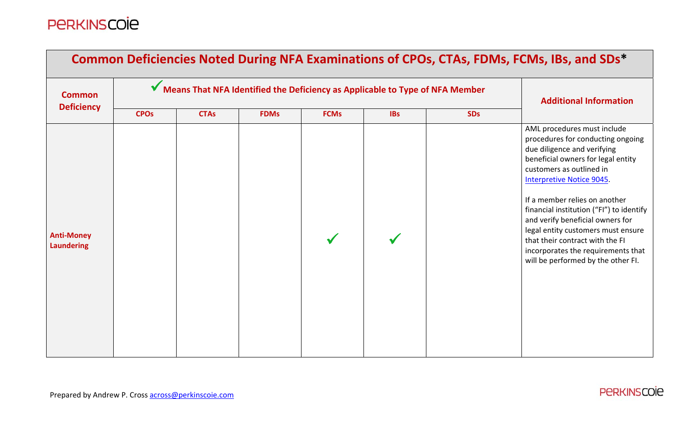| Common Deficiencies Noted During NFA Examinations of CPOs, CTAs, FDMs, FCMs, IBs, and SDs* |                        |                                                                              |                               |             |            |            |                                                                                                                                                                                                                                                                                                                                                                                                                                                                             |  |  |  |
|--------------------------------------------------------------------------------------------|------------------------|------------------------------------------------------------------------------|-------------------------------|-------------|------------|------------|-----------------------------------------------------------------------------------------------------------------------------------------------------------------------------------------------------------------------------------------------------------------------------------------------------------------------------------------------------------------------------------------------------------------------------------------------------------------------------|--|--|--|
| <b>Common</b>                                                                              |                        | Means That NFA Identified the Deficiency as Applicable to Type of NFA Member | <b>Additional Information</b> |             |            |            |                                                                                                                                                                                                                                                                                                                                                                                                                                                                             |  |  |  |
| <b>Deficiency</b>                                                                          | <b>CPO<sub>s</sub></b> | <b>CTAs</b>                                                                  | <b>FDMs</b>                   | <b>FCMs</b> | <b>IBs</b> | <b>SDs</b> |                                                                                                                                                                                                                                                                                                                                                                                                                                                                             |  |  |  |
| <b>Anti-Money</b><br><b>Laundering</b>                                                     |                        |                                                                              |                               |             |            |            | AML procedures must include<br>procedures for conducting ongoing<br>due diligence and verifying<br>beneficial owners for legal entity<br>customers as outlined in<br><b>Interpretive Notice 9045.</b><br>If a member relies on another<br>financial institution ("FI") to identify<br>and verify beneficial owners for<br>legal entity customers must ensure<br>that their contract with the FI<br>incorporates the requirements that<br>will be performed by the other FI. |  |  |  |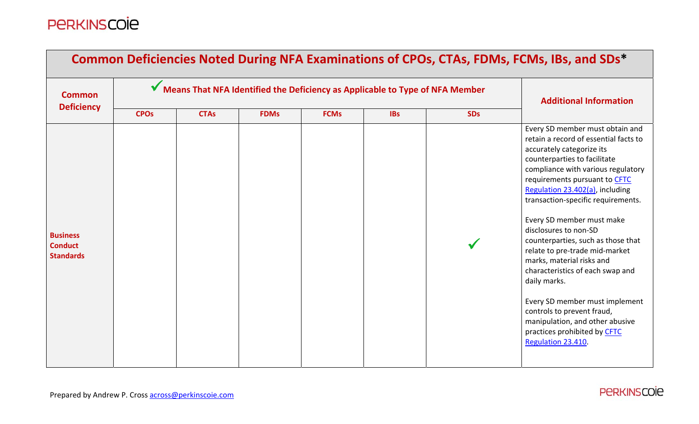| Common Deficiencies Noted During NFA Examinations of CPOs, CTAs, FDMs, FCMs, IBs, and SDs* |                        |                                                                              |                               |             |            |            |                                                                                                                                                                                                                                                                                                                                                                                                                                                                                                                                                                                                                                                               |  |  |
|--------------------------------------------------------------------------------------------|------------------------|------------------------------------------------------------------------------|-------------------------------|-------------|------------|------------|---------------------------------------------------------------------------------------------------------------------------------------------------------------------------------------------------------------------------------------------------------------------------------------------------------------------------------------------------------------------------------------------------------------------------------------------------------------------------------------------------------------------------------------------------------------------------------------------------------------------------------------------------------------|--|--|
| <b>Common</b><br><b>Deficiency</b>                                                         |                        | Means That NFA Identified the Deficiency as Applicable to Type of NFA Member | <b>Additional Information</b> |             |            |            |                                                                                                                                                                                                                                                                                                                                                                                                                                                                                                                                                                                                                                                               |  |  |
|                                                                                            | <b>CPO<sub>s</sub></b> | <b>CTAs</b>                                                                  | <b>FDMs</b>                   | <b>FCMs</b> | <b>IBs</b> | <b>SDs</b> |                                                                                                                                                                                                                                                                                                                                                                                                                                                                                                                                                                                                                                                               |  |  |
| <b>Business</b><br><b>Conduct</b><br><b>Standards</b>                                      |                        |                                                                              |                               |             |            |            | Every SD member must obtain and<br>retain a record of essential facts to<br>accurately categorize its<br>counterparties to facilitate<br>compliance with various regulatory<br>requirements pursuant to CFTC<br>Regulation 23.402(a), including<br>transaction-specific requirements.<br>Every SD member must make<br>disclosures to non-SD<br>counterparties, such as those that<br>relate to pre-trade mid-market<br>marks, material risks and<br>characteristics of each swap and<br>daily marks.<br>Every SD member must implement<br>controls to prevent fraud,<br>manipulation, and other abusive<br>practices prohibited by CFTC<br>Regulation 23.410. |  |  |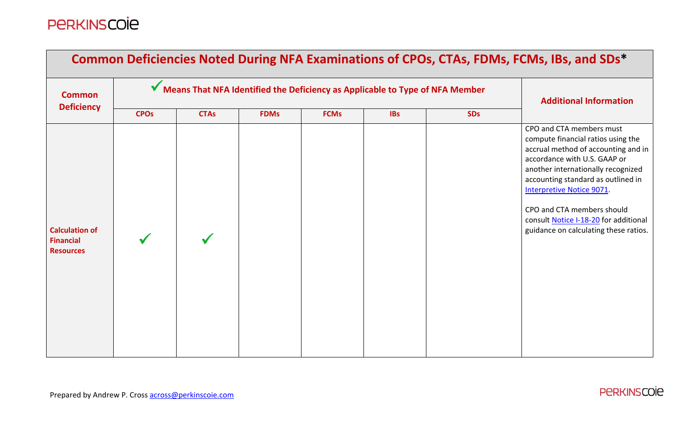| Common Deficiencies Noted During NFA Examinations of CPOs, CTAs, FDMs, FCMs, IBs, and SDs* |                        |                                                                              |                               |             |            |            |                                                                                                                                                                                                                                                                                                                                                                |  |  |  |
|--------------------------------------------------------------------------------------------|------------------------|------------------------------------------------------------------------------|-------------------------------|-------------|------------|------------|----------------------------------------------------------------------------------------------------------------------------------------------------------------------------------------------------------------------------------------------------------------------------------------------------------------------------------------------------------------|--|--|--|
| <b>Common</b>                                                                              |                        | Means That NFA Identified the Deficiency as Applicable to Type of NFA Member | <b>Additional Information</b> |             |            |            |                                                                                                                                                                                                                                                                                                                                                                |  |  |  |
| <b>Deficiency</b>                                                                          | <b>CPO<sub>s</sub></b> | <b>CTAs</b>                                                                  | <b>FDMs</b>                   | <b>FCMs</b> | <b>IBs</b> | <b>SDs</b> |                                                                                                                                                                                                                                                                                                                                                                |  |  |  |
| <b>Calculation of</b><br><b>Financial</b><br><b>Resources</b>                              |                        |                                                                              |                               |             |            |            | CPO and CTA members must<br>compute financial ratios using the<br>accrual method of accounting and in<br>accordance with U.S. GAAP or<br>another internationally recognized<br>accounting standard as outlined in<br>Interpretive Notice 9071.<br>CPO and CTA members should<br>consult Notice I-18-20 for additional<br>guidance on calculating these ratios. |  |  |  |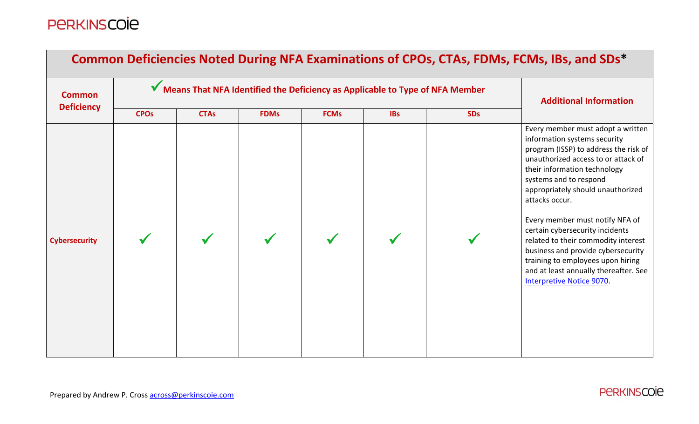| Common Deficiencies Noted During NFA Examinations of CPOs, CTAs, FDMs, FCMs, IBs, and SDs* |                        |                                                                              |                               |             |            |            |                                                                                                                                                                                                                                                                                                                                                                                                                                                                                                                                         |  |  |  |
|--------------------------------------------------------------------------------------------|------------------------|------------------------------------------------------------------------------|-------------------------------|-------------|------------|------------|-----------------------------------------------------------------------------------------------------------------------------------------------------------------------------------------------------------------------------------------------------------------------------------------------------------------------------------------------------------------------------------------------------------------------------------------------------------------------------------------------------------------------------------------|--|--|--|
| <b>Common</b>                                                                              |                        | Means That NFA Identified the Deficiency as Applicable to Type of NFA Member | <b>Additional Information</b> |             |            |            |                                                                                                                                                                                                                                                                                                                                                                                                                                                                                                                                         |  |  |  |
| <b>Deficiency</b>                                                                          | <b>CPO<sub>s</sub></b> | <b>CTAs</b>                                                                  | <b>FDMs</b>                   | <b>FCMs</b> | <b>IBs</b> | <b>SDs</b> |                                                                                                                                                                                                                                                                                                                                                                                                                                                                                                                                         |  |  |  |
| <b>Cybersecurity</b>                                                                       |                        |                                                                              |                               |             |            |            | Every member must adopt a written<br>information systems security<br>program (ISSP) to address the risk of<br>unauthorized access to or attack of<br>their information technology<br>systems and to respond<br>appropriately should unauthorized<br>attacks occur.<br>Every member must notify NFA of<br>certain cybersecurity incidents<br>related to their commodity interest<br>business and provide cybersecurity<br>training to employees upon hiring<br>and at least annually thereafter. See<br><b>Interpretive Notice 9070.</b> |  |  |  |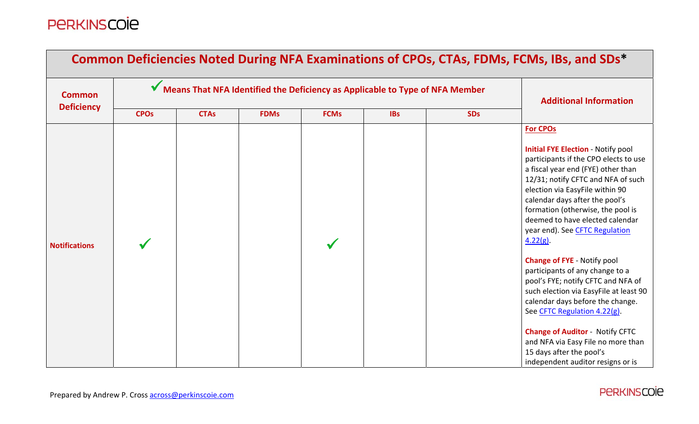| Common Deficiencies Noted During NFA Examinations of CPOs, CTAs, FDMs, FCMs, IBs, and SDs* |                        |                                                                              |                               |             |            |            |                                                                                                                                                                                                                                                                                                                                                                                                                                                                                                                                                                                                                                                                                                                                                               |  |  |
|--------------------------------------------------------------------------------------------|------------------------|------------------------------------------------------------------------------|-------------------------------|-------------|------------|------------|---------------------------------------------------------------------------------------------------------------------------------------------------------------------------------------------------------------------------------------------------------------------------------------------------------------------------------------------------------------------------------------------------------------------------------------------------------------------------------------------------------------------------------------------------------------------------------------------------------------------------------------------------------------------------------------------------------------------------------------------------------------|--|--|
| <b>Common</b>                                                                              |                        | Means That NFA Identified the Deficiency as Applicable to Type of NFA Member | <b>Additional Information</b> |             |            |            |                                                                                                                                                                                                                                                                                                                                                                                                                                                                                                                                                                                                                                                                                                                                                               |  |  |
| <b>Deficiency</b>                                                                          | <b>CPO<sub>s</sub></b> | <b>CTAs</b>                                                                  | <b>FDMs</b>                   | <b>FCMs</b> | <b>IBs</b> | <b>SDs</b> |                                                                                                                                                                                                                                                                                                                                                                                                                                                                                                                                                                                                                                                                                                                                                               |  |  |
| <b>Notifications</b>                                                                       |                        |                                                                              |                               |             |            |            | <b>For CPOs</b><br><b>Initial FYE Election - Notify pool</b><br>participants if the CPO elects to use<br>a fiscal year end (FYE) other than<br>12/31; notify CFTC and NFA of such<br>election via EasyFile within 90<br>calendar days after the pool's<br>formation (otherwise, the pool is<br>deemed to have elected calendar<br>year end). See CFTC Regulation<br>$4.22(g)$ .<br><b>Change of FYE - Notify pool</b><br>participants of any change to a<br>pool's FYE; notify CFTC and NFA of<br>such election via EasyFile at least 90<br>calendar days before the change.<br>See CFTC Regulation 4.22(g).<br><b>Change of Auditor - Notify CFTC</b><br>and NFA via Easy File no more than<br>15 days after the pool's<br>independent auditor resigns or is |  |  |

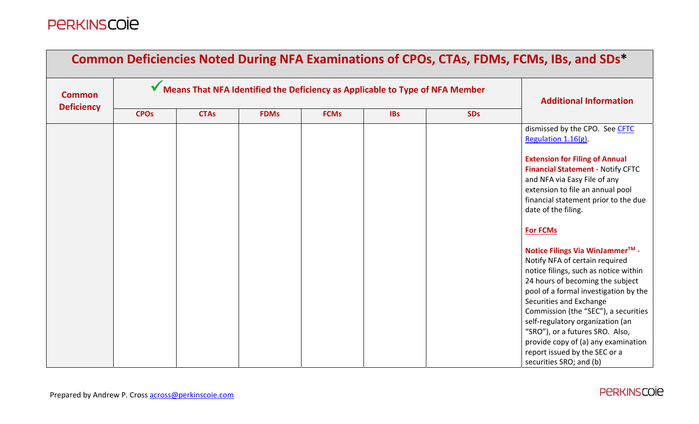| <b>Common Deficiencies Noted During NFA Examinations of CPOs, CTAs, FDMs, FCMs, IBs, and SDs*</b> |                        |                                                                              |                               |             |            |            |                                                                                                                                                                                                                                                                                                                                                                                                                                                                                                                                                                                                              |  |  |  |
|---------------------------------------------------------------------------------------------------|------------------------|------------------------------------------------------------------------------|-------------------------------|-------------|------------|------------|--------------------------------------------------------------------------------------------------------------------------------------------------------------------------------------------------------------------------------------------------------------------------------------------------------------------------------------------------------------------------------------------------------------------------------------------------------------------------------------------------------------------------------------------------------------------------------------------------------------|--|--|--|
| <b>Common</b>                                                                                     |                        | Means That NFA Identified the Deficiency as Applicable to Type of NFA Member | <b>Additional Information</b> |             |            |            |                                                                                                                                                                                                                                                                                                                                                                                                                                                                                                                                                                                                              |  |  |  |
| <b>Deficiency</b>                                                                                 | <b>CPO<sub>s</sub></b> | <b>CTAs</b>                                                                  | <b>FDMs</b>                   | <b>FCMs</b> | <b>IBs</b> | <b>SDs</b> |                                                                                                                                                                                                                                                                                                                                                                                                                                                                                                                                                                                                              |  |  |  |
|                                                                                                   |                        |                                                                              |                               |             |            |            | dismissed by the CPO. See CFTC<br>Regulation 1.16(g).<br><b>Extension for Filing of Annual</b><br><b>Financial Statement - Notify CFTC</b><br>and NFA via Easy File of any<br>extension to file an annual pool<br>financial statement prior to the due<br>date of the filing.<br><b>For FCMs</b><br>Notice Filings Via WinJammer <sup>™</sup><br>Notify NFA of certain required<br>notice filings, such as notice within<br>24 hours of becoming the subject<br>pool of a formal investigation by the<br>Securities and Exchange<br>Commission (the "SEC"), a securities<br>self-regulatory organization (an |  |  |  |
|                                                                                                   |                        |                                                                              |                               |             |            |            | "SRO"), or a futures SRO. Also,<br>provide copy of (a) any examination<br>report issued by the SEC or a<br>securities SRO; and (b)                                                                                                                                                                                                                                                                                                                                                                                                                                                                           |  |  |  |

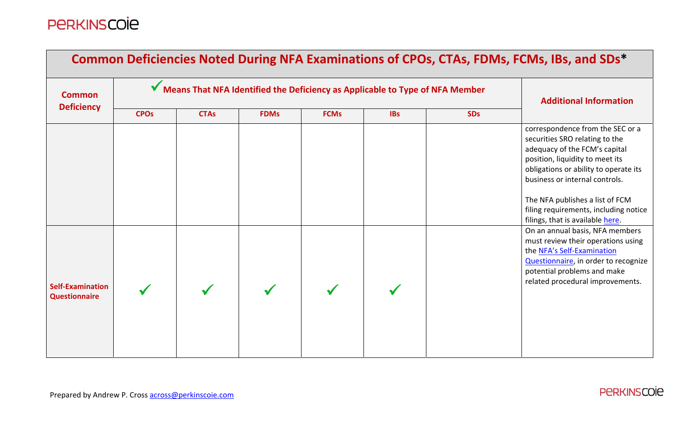|                                                 | Common Deficiencies Noted During NFA Examinations of CPOs, CTAs, FDMs, FCMs, IBs, and SDs* |                                                                              |                               |             |            |            |                                                                                                                                                                                                                                                                                                                                   |  |  |  |  |
|-------------------------------------------------|--------------------------------------------------------------------------------------------|------------------------------------------------------------------------------|-------------------------------|-------------|------------|------------|-----------------------------------------------------------------------------------------------------------------------------------------------------------------------------------------------------------------------------------------------------------------------------------------------------------------------------------|--|--|--|--|
| <b>Common</b>                                   |                                                                                            | Means That NFA Identified the Deficiency as Applicable to Type of NFA Member | <b>Additional Information</b> |             |            |            |                                                                                                                                                                                                                                                                                                                                   |  |  |  |  |
| <b>Deficiency</b>                               | <b>CPO<sub>s</sub></b>                                                                     | <b>CTAs</b>                                                                  | <b>FDMs</b>                   | <b>FCMs</b> | <b>IBs</b> | <b>SDs</b> |                                                                                                                                                                                                                                                                                                                                   |  |  |  |  |
|                                                 |                                                                                            |                                                                              |                               |             |            |            | correspondence from the SEC or a<br>securities SRO relating to the<br>adequacy of the FCM's capital<br>position, liquidity to meet its<br>obligations or ability to operate its<br>business or internal controls.<br>The NFA publishes a list of FCM<br>filing requirements, including notice<br>filings, that is available here. |  |  |  |  |
| <b>Self-Examination</b><br><b>Questionnaire</b> |                                                                                            |                                                                              |                               |             |            |            | On an annual basis, NFA members<br>must review their operations using<br>the NFA's Self-Examination<br>Questionnaire, in order to recognize<br>potential problems and make<br>related procedural improvements.                                                                                                                    |  |  |  |  |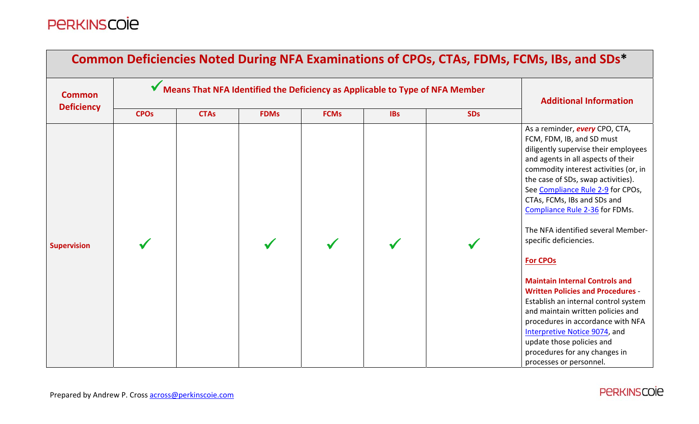| <b>Common Deficiencies Noted During NFA Examinations of CPOs, CTAs, FDMs, FCMs, IBs, and SDs*</b> |                        |                                                                              |                               |             |            |            |                                                                                                                                                                                                                                                                                                                                                                                                                                                                                                                                                                                                                                                                                                                                                           |  |  |
|---------------------------------------------------------------------------------------------------|------------------------|------------------------------------------------------------------------------|-------------------------------|-------------|------------|------------|-----------------------------------------------------------------------------------------------------------------------------------------------------------------------------------------------------------------------------------------------------------------------------------------------------------------------------------------------------------------------------------------------------------------------------------------------------------------------------------------------------------------------------------------------------------------------------------------------------------------------------------------------------------------------------------------------------------------------------------------------------------|--|--|
| <b>Common</b>                                                                                     |                        | Means That NFA Identified the Deficiency as Applicable to Type of NFA Member | <b>Additional Information</b> |             |            |            |                                                                                                                                                                                                                                                                                                                                                                                                                                                                                                                                                                                                                                                                                                                                                           |  |  |
| <b>Deficiency</b>                                                                                 | <b>CPO<sub>s</sub></b> | <b>CTAs</b>                                                                  | <b>FDMs</b>                   | <b>FCMs</b> | <b>IBs</b> | <b>SDs</b> |                                                                                                                                                                                                                                                                                                                                                                                                                                                                                                                                                                                                                                                                                                                                                           |  |  |
| <b>Supervision</b>                                                                                |                        |                                                                              |                               |             |            |            | As a reminder, <b>every</b> CPO, CTA,<br>FCM, FDM, IB, and SD must<br>diligently supervise their employees<br>and agents in all aspects of their<br>commodity interest activities (or, in<br>the case of SDs, swap activities).<br>See Compliance Rule 2-9 for CPOs,<br>CTAs, FCMs, IBs and SDs and<br>Compliance Rule 2-36 for FDMs.<br>The NFA identified several Member-<br>specific deficiencies.<br><b>For CPOs</b><br><b>Maintain Internal Controls and</b><br><b>Written Policies and Procedures -</b><br>Establish an internal control system<br>and maintain written policies and<br>procedures in accordance with NFA<br>Interpretive Notice 9074, and<br>update those policies and<br>procedures for any changes in<br>processes or personnel. |  |  |

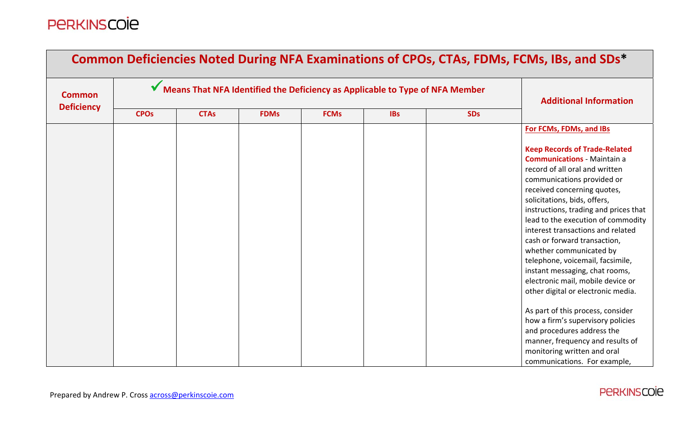| Common Deficiencies Noted During NFA Examinations of CPOs, CTAs, FDMs, FCMs, IBs, and SDs* |                        |                                                                              |                               |             |            |            |                                                                                                                                                                                                                                                                                                                                                                                                                                                                                                                                                                                                                                                                                                                                                      |  |  |
|--------------------------------------------------------------------------------------------|------------------------|------------------------------------------------------------------------------|-------------------------------|-------------|------------|------------|------------------------------------------------------------------------------------------------------------------------------------------------------------------------------------------------------------------------------------------------------------------------------------------------------------------------------------------------------------------------------------------------------------------------------------------------------------------------------------------------------------------------------------------------------------------------------------------------------------------------------------------------------------------------------------------------------------------------------------------------------|--|--|
| <b>Common</b>                                                                              |                        | Means That NFA Identified the Deficiency as Applicable to Type of NFA Member | <b>Additional Information</b> |             |            |            |                                                                                                                                                                                                                                                                                                                                                                                                                                                                                                                                                                                                                                                                                                                                                      |  |  |
| <b>Deficiency</b>                                                                          | <b>CPO<sub>s</sub></b> | <b>CTAs</b>                                                                  | <b>FDMs</b>                   | <b>FCMs</b> | <b>IBs</b> | <b>SDs</b> |                                                                                                                                                                                                                                                                                                                                                                                                                                                                                                                                                                                                                                                                                                                                                      |  |  |
|                                                                                            |                        |                                                                              |                               |             |            |            | For FCMs, FDMs, and IBs                                                                                                                                                                                                                                                                                                                                                                                                                                                                                                                                                                                                                                                                                                                              |  |  |
|                                                                                            |                        |                                                                              |                               |             |            |            | <b>Keep Records of Trade-Related</b><br><b>Communications - Maintain a</b><br>record of all oral and written<br>communications provided or<br>received concerning quotes,<br>solicitations, bids, offers,<br>instructions, trading and prices that<br>lead to the execution of commodity<br>interest transactions and related<br>cash or forward transaction,<br>whether communicated by<br>telephone, voicemail, facsimile,<br>instant messaging, chat rooms,<br>electronic mail, mobile device or<br>other digital or electronic media.<br>As part of this process, consider<br>how a firm's supervisory policies<br>and procedures address the<br>manner, frequency and results of<br>monitoring written and oral<br>communications. For example, |  |  |